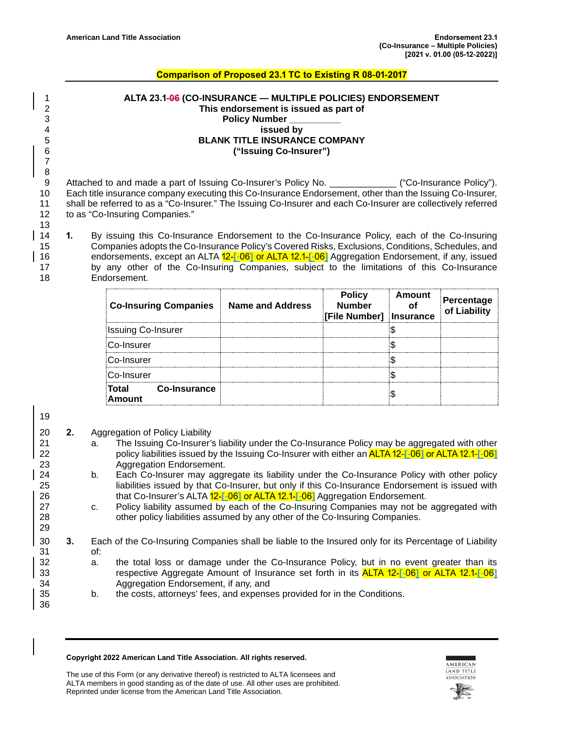## **Comparison of Proposed 23.1 TC to Existing R 08-01-2017**

 **ALTA 23.1-06 (CO-INSURANCE — MULTIPLE POLICIES) ENDORSEMENT This endorsement is issued as part of Policy Number issued by BLANK TITLE INSURANCE COMPANY ("Issuing Co-Insurer")**

8 Attached to and made a part of Issuing Co-Insurer's Policy No. \_\_\_\_\_\_\_\_\_\_\_\_\_\_\_ ("Co-Insurance Policy"). 10 Each title insurance company executing this Co-Insurance Endorsement, other than the Issuing Co-Insurer, 11 shall be referred to as a "Co-Insurer." The Issuing Co-Insurer and each Co-Insurer are collectively referred 12 to as "Co-Insuring Companies."

14 **1.** By issuing this Co-Insurance Endorsement to the Co-Insurance Policy, each of the Co-Insuring 15 Companies adopts the Co-Insurance Policy's Covered Risks, Exclusions, Conditions, Schedules, and 16 endorsements, except an ALTA 12-**[**-06**]** or ALTA 12.1-**[**-06**]** Aggregation Endorsement, if any, issued 17 by any other of the Co-Insuring Companies, subject to the limitations of this Co-Insurance<br>18 Endorsement. Endorsement.

| <b>Co-Insuring Companies Name and Address</b> | <b>Policy</b><br><b>Number</b><br>[File Number]   Insurance | Amount | Percentage<br>of Liability |
|-----------------------------------------------|-------------------------------------------------------------|--------|----------------------------|
| <b>Issuing Co-Insurer</b>                     |                                                             |        |                            |
| Co-Insurer                                    |                                                             |        |                            |
| Co-Insurer                                    |                                                             |        |                            |
| Co-Insurer                                    |                                                             |        |                            |
| Total<br>Co-Insurance<br><b>Amount</b>        |                                                             |        |                            |

19

29

36

7

13

- 20 **2.** Aggregation of Policy Liability
- 21 a. The Issuing Co-Insurer's liability under the Co-Insurance Policy may be aggregated with other 22 policy liabilities issued by the Issuing Co-Insurer with either an ALTA 12-**[**-06**]** or ALTA 12.1-**[**-06**]** 23 Aggregation Endorsement.<br>24 b. Each Co-Insurer may aggr
- 24 b. Each Co-Insurer may aggregate its liability under the Co-Insurance Policy with other policy 25 liabilities issued by that Co-Insurer, but only if this Co-Insurance Endorsement is issued with 26 that Co-Insurer's ALTA 12-**[**-06**]** or ALTA 12.1-**[**-06**]** Aggregation Endorsement.
- 27 c. Policy liability assumed by each of the Co-Insuring Companies may not be aggregated with 28 other policy liabilities assumed by any other of the Co-Insuring Companies.
- 30 **3.** Each of the Co-Insuring Companies shall be liable to the Insured only for its Percentage of Liability 31 of:
- 32 a. the total loss or damage under the Co-Insurance Policy, but in no event greater than its 33 respective Aggregate Amount of Insurance set forth in its ALTA 12-**[**-06**]** or ALTA 12.1-**[**-06**]** 34 Aggregation Endorsement, if any, and
- 35 b. the costs, attorneys' fees, and expenses provided for in the Conditions.

**Copyright 2022 American Land Title Association. All rights reserved.**

The use of this Form (or any derivative thereof) is restricted to ALTA licensees and ALTA members in good standing as of the date of use. All other uses are prohibited. Reprinted under license from the American Land Title Association.

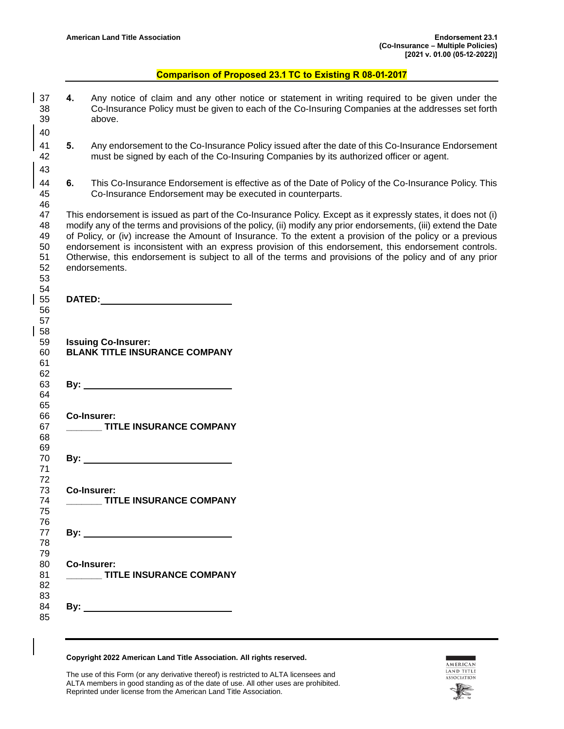## **Comparison of Proposed 23.1 TC to Existing R 08-01-2017**

 **4.** Any notice of claim and any other notice or statement in writing required to be given under the Co-Insurance Policy must be given to each of the Co-Insuring Companies at the addresses set forth above. **5.** Any endorsement to the Co-Insurance Policy issued after the date of this Co-Insurance Endorsement 42 must be signed by each of the Co-Insuring Companies by its authorized officer or agent. must be signed by each of the Co-Insuring Companies by its authorized officer or agent. **6.** This Co-Insurance Endorsement is effective as of the Date of Policy of the Co-Insurance Policy. This 45 co-Insurance Endorsement may be executed in counterparts. Co-Insurance Endorsement may be executed in counterparts. This endorsement is issued as part of the Co-Insurance Policy. Except as it expressly states, it does not (i) modify any of the terms and provisions of the policy, (ii) modify any prior endorsements, (iii) extend the Date of Policy, or (iv) increase the Amount of Insurance. To the extent a provision of the policy or a previous 50 endorsement is inconsistent with an express provision of this endorsement, this endorsement controls.<br>51 Otherwise, this endorsement is subject to all of the terms and provisions of the policy and of any prior Otherwise, this endorsement is subject to all of the terms and provisions of the policy and of any prior endorsements. **DATED: Issuing Co-Insurer: BLANK TITLE INSURANCE COMPANY**  62<br>63 **By:** <u>By:</u> **By: By: By: By: By: By: By: By: By: By: By: By: By: By: By: By: By: By: By: By: By: By: By: By: By: By: By: By: By: By: By: By: By: By: By: Co-Insurer: \_\_\_\_\_\_\_ TITLE INSURANCE COMPANY** 69<br>70 **By:**  $\overline{\phantom{a}}$  **Co-Insurer: \_\_\_\_\_\_\_ TITLE INSURANCE COMPANY By: Co-Insurer: \_\_\_\_\_\_\_ TITLE INSURANCE COMPANY By:**  

## **Copyright 2022 American Land Title Association. All rights reserved.**

The use of this Form (or any derivative thereof) is restricted to ALTA licensees and ALTA members in good standing as of the date of use. All other uses are prohibited. Reprinted under license from the American Land Title Association.